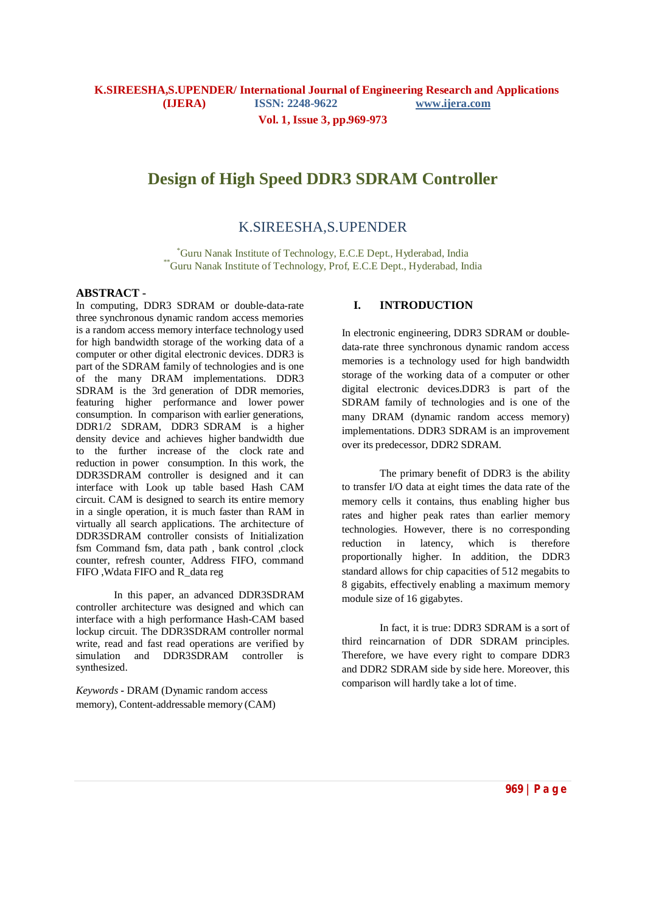**Vol. 1, Issue 3, pp.969-973**

# **Design of High Speed DDR3 SDRAM Controller**

# K.SIREESHA,S.UPENDER

\*Guru Nanak Institute of Technology, E.C.E Dept., Hyderabad, India \*\*Guru Nanak Institute of Technology, Prof, E.C.E Dept., Hyderabad, India

#### **ABSTRACT -**

In computing, DDR3 SDRAM or double-data-rate three synchronous dynamic random access memories is a random access memory interface technology used for high bandwidth storage of the working data of a computer or other digital electronic devices. DDR3 is part of the SDRAM family of technologies and is one of the many DRAM implementations. DDR3 SDRAM is the 3rd generation of DDR memories, featuring higher performance and lower power consumption. In comparison with earlier generations, DDR1/2 SDRAM, DDR3 SDRAM is a higher density device and achieves higher bandwidth due to the further increase of the clock rate and reduction in power consumption. In this work, the DDR3SDRAM controller is designed and it can interface with Look up table based Hash CAM circuit. CAM is designed to search its entire memory in a single operation, it is much faster than RAM in virtually all search applications. The architecture of DDR3SDRAM controller consists of Initialization fsm Command fsm, data path , bank control ,clock counter, refresh counter, Address FIFO, command FIFO ,Wdata FIFO and R\_data reg

In this paper, an advanced DDR3SDRAM controller architecture was designed and which can interface with a high performance Hash-CAM based lockup circuit. The DDR3SDRAM controller normal write, read and fast read operations are verified by simulation and DDR3SDRAM controller is synthesized.

*Keywords* **-** DRAM (Dynamic random access memory), Content-addressable memory (CAM)

## **I. INTRODUCTION**

In electronic engineering, DDR3 SDRAM or doubledata-rate three synchronous dynamic random access memories is a technology used for high bandwidth storage of the working data of a computer or other digital electronic devices.DDR3 is part of the SDRAM family of technologies and is one of the many DRAM (dynamic random access memory) implementations. DDR3 SDRAM is an improvement over its predecessor, DDR2 SDRAM.

The primary benefit of DDR3 is the ability to transfer I/O data at eight times the data rate of the memory cells it contains, thus enabling higher bus rates and higher peak rates than earlier memory technologies. However, there is no corresponding reduction in latency, which is therefore proportionally higher. In addition, the DDR3 standard allows for chip capacities of 512 megabits to 8 gigabits, effectively enabling a maximum memory module size of 16 gigabytes.

In fact, it is true: DDR3 SDRAM is a sort of third reincarnation of DDR SDRAM principles. Therefore, we have every right to compare DDR3 and DDR2 SDRAM side by side here. Moreover, this comparison will hardly take a lot of time.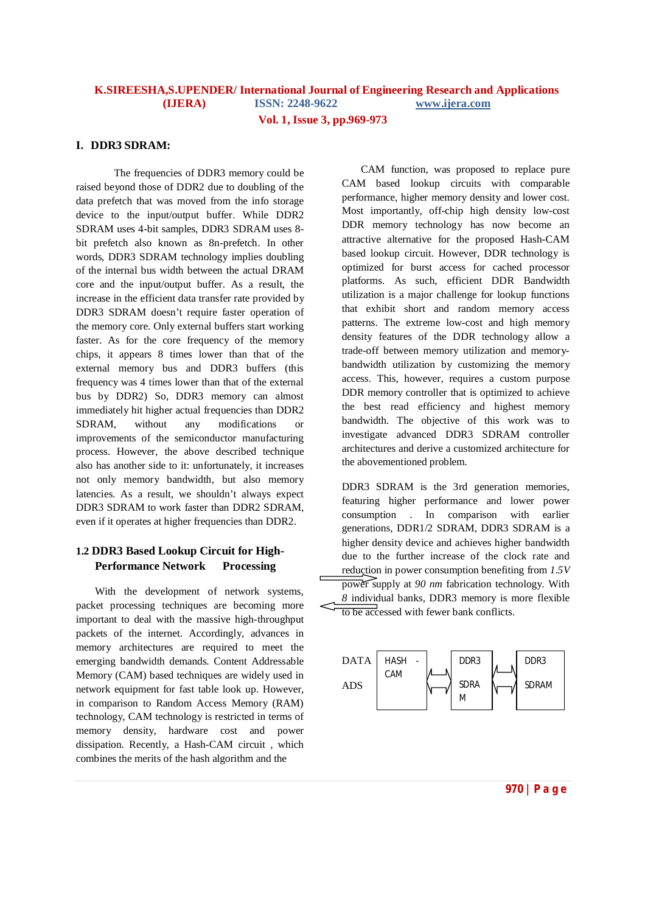# **K.SIREESHA,S.UPENDER/ International Journal of Engineering Research and Applications (IJERA) ISSN: 2248-9622 www.ijera.com Vol. 1, Issue 3, pp.969-973**

### **I. DDR3 SDRAM:**

The frequencies of DDR3 memory could be raised beyond those of DDR2 due to doubling of the data prefetch that was moved from the info storage device to the input/output buffer. While DDR2 SDRAM uses 4-bit samples, DDR3 SDRAM uses 8 bit prefetch also known as 8n-prefetch. In other words, DDR3 SDRAM technology implies doubling of the internal bus width between the actual DRAM core and the input/output buffer. As a result, the increase in the efficient data transfer rate provided by DDR3 SDRAM doesn't require faster operation of the memory core. Only external buffers start working faster. As for the core frequency of the memory chips, it appears 8 times lower than that of the external memory bus and DDR3 buffers (this frequency was 4 times lower than that of the external bus by DDR2) So, DDR3 memory can almost immediately hit higher actual frequencies than DDR2 SDRAM, without any modifications or improvements of the semiconductor manufacturing process. However, the above described technique also has another side to it: unfortunately, it increases not only memory bandwidth, but also memory latencies. As a result, we shouldn't always expect DDR3 SDRAM to work faster than DDR2 SDRAM, even if it operates at higher frequencies than DDR2.

# **1.2 DDR3 Based Lookup Circuit for High-Performance Network Processing**

With the development of network systems, packet processing techniques are becoming more important to deal with the massive high-throughput packets of the internet. Accordingly, advances in memory architectures are required to meet the emerging bandwidth demands. Content Addressable Memory (CAM) based techniques are widely used in network equipment for fast table look up. However, in comparison to Random Access Memory (RAM) technology, CAM technology is restricted in terms of memory density, hardware cost and power dissipation. Recently, a Hash-CAM circuit , which combines the merits of the hash algorithm and the

CAM function, was proposed to replace pure CAM based lookup circuits with comparable performance, higher memory density and lower cost. Most importantly, off-chip high density low-cost DDR memory technology has now become an attractive alternative for the proposed Hash-CAM based lookup circuit. However, DDR technology is optimized for burst access for cached processor platforms. As such, efficient DDR Bandwidth utilization is a major challenge for lookup functions that exhibit short and random memory access patterns. The extreme low-cost and high memory density features of the DDR technology allow a trade-off between memory utilization and memorybandwidth utilization by customizing the memory access. This, however, requires a custom purpose DDR memory controller that is optimized to achieve the best read efficiency and highest memory bandwidth. The objective of this work was to investigate advanced DDR3 SDRAM controller architectures and derive a customized architecture for the abovementioned problem.

DDR3 SDRAM is the 3rd generation memories, featuring higher performance and lower power consumption . In comparison with earlier generations, DDR1/2 SDRAM, DDR3 SDRAM is a higher density device and achieves higher bandwidth due to the further increase of the clock rate and reduction in power consumption benefiting from *1.5V*  power supply at *90 nm* fabrication technology. With *8* individual banks, DDR3 memory is more flexible



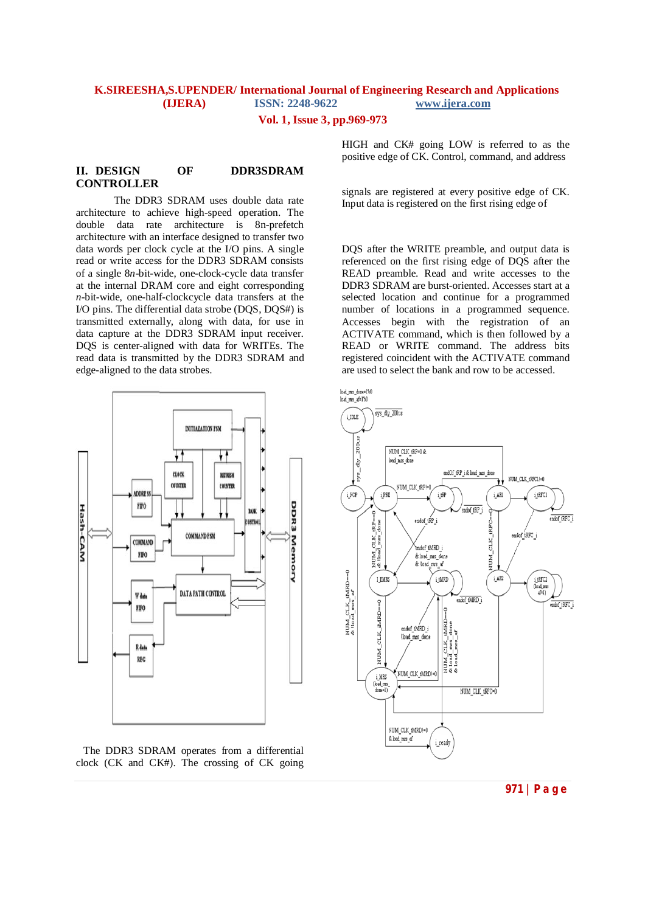### **K.SIREESHA,S.UPENDER/ International Journal of Engineering Research and Applications (IJERA) ISSN: 2248-9622 www.ijera.com**

**Vol. 1, Issue 3, pp.969-973**

### **II. DESIGN OF DDR3SDRAM CONTROLLER**

The DDR3 SDRAM uses double data rate architecture to achieve high-speed operation. The double data rate architecture is 8n-prefetch architecture with an interface designed to transfer two data words per clock cycle at the I/O pins. A single read or write access for the DDR3 SDRAM consists of a single 8*n*-bit-wide, one-clock-cycle data transfer at the internal DRAM core and eight corresponding *n*-bit-wide, one-half-clockcycle data transfers at the I/O pins. The differential data strobe (DQS, DQS#) is transmitted externally, along with data, for use in data capture at the DDR3 SDRAM input receiver. DQS is center-aligned with data for WRITEs. The read data is transmitted by the DDR3 SDRAM and edge-aligned to the data strobes.



 The DDR3 SDRAM operates from a differential clock (CK and CK#). The crossing of CK going

HIGH and CK# going LOW is referred to as the positive edge of CK. Control, command, and address

signals are registered at every positive edge of CK. Input data is registered on the first rising edge of

DQS after the WRITE preamble, and output data is referenced on the first rising edge of DQS after the READ preamble. Read and write accesses to the DDR3 SDRAM are burst-oriented. Accesses start at a selected location and continue for a programmed number of locations in a programmed sequence. Accesses begin with the registration of an ACTIVATE command, which is then followed by a READ or WRITE command. The address bits registered coincident with the ACTIVATE command are used to select the bank and row to be accessed.

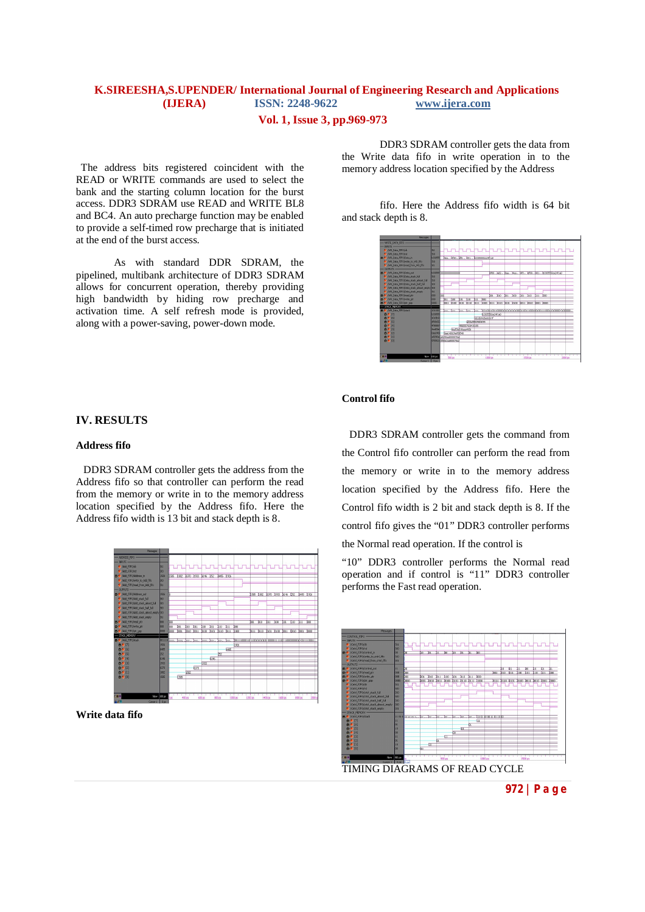# **K.SIREESHA,S.UPENDER/ International Journal of Engineering Research and Applications (IJERA) ISSN: 2248-9622 www.ijera.com**

## **Vol. 1, Issue 3, pp.969-973**

 The address bits registered coincident with the READ or WRITE commands are used to select the bank and the starting column location for the burst access. DDR3 SDRAM use READ and WRITE BL8 and BC4. An auto precharge function may be enabled to provide a self-timed row precharge that is initiated at the end of the burst access.

As with standard DDR SDRAM, the pipelined, multibank architecture of DDR3 SDRAM allows for concurrent operation, thereby providing high bandwidth by hiding row precharge and activation time. A self refresh mode is provided, along with a power-saving, power-down mode.

**IV. RESULTS**

#### **Address fifo**

 DDR3 SDRAM controller gets the address from the Address fifo so that controller can perform the read from the memory or write in to the memory address location specified by the Address fifo. Here the Address fifo width is 13 bit and stack depth is 8.



**Write data fifo**

DDR3 SDRAM controller gets the data from the Write data fifo in write operation in to the memory address location specified by the Address

fifo. Here the Address fifo width is 64 bit and stack depth is 8.



### **Control fifo**

DDR3 SDRAM controller gets the command from the Control fifo controller can perform the read from the memory or write in to the memory address location specified by the Address fifo. Here the Control fifo width is 2 bit and stack depth is 8. If the control fifo gives the "01" DDR3 controller performs the Normal read operation. If the control is

"10" DDR3 controller performs the Normal read operation and if control is "11" DDR3 controller performs the Fast read operation.



**972 | P a g e**